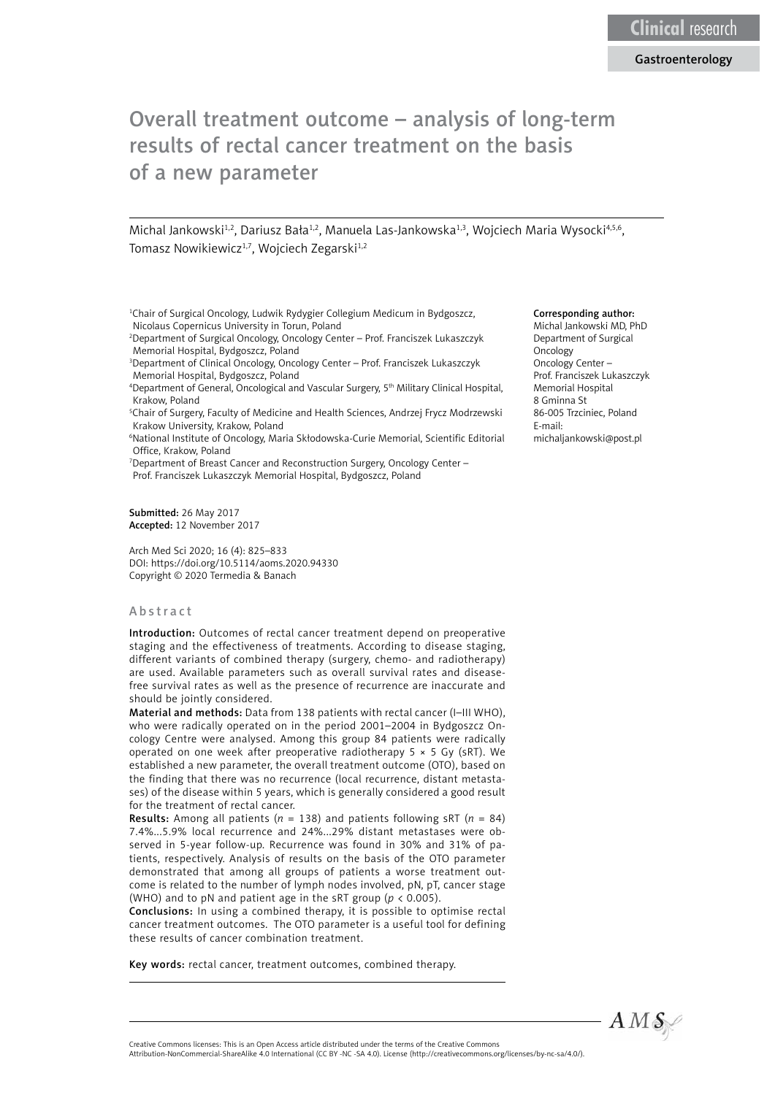# Gastroenterology

# Overall treatment outcome – analysis of long-term results of rectal cancer treatment on the basis of a new parameter

Michal Jankowski<sup>1,2</sup>, Dariusz Bała<sup>1,2</sup>, Manuela Las-Jankowska<sup>1,3</sup>, Wojciech Maria Wysocki<sup>4,5,6</sup>, Tomasz Nowikiewicz<sup>1,7</sup>, Wojciech Zegarski<sup>1,2</sup>

1 Chair of Surgical Oncology, Ludwik Rydygier Collegium Medicum in Bydgoszcz, Nicolaus Copernicus University in Torun, Poland

2 Department of Surgical Oncology, Oncology Center – Prof. Franciszek Lukaszczyk Memorial Hospital, Bydgoszcz, Poland

3 Department of Clinical Oncology, Oncology Center – Prof. Franciszek Lukaszczyk Memorial Hospital, Bydgoszcz, Poland

<sup>4</sup>Department of General, Oncological and Vascular Surgery, 5<sup>th</sup> Military Clinical Hospital, Krakow, Poland

5 Chair of Surgery, Faculty of Medicine and Health Sciences, Andrzej Frycz Modrzewski Krakow University, Krakow, Poland

6 National Institute of Oncology, Maria Skłodowska-Curie Memorial, Scientific Editorial Office, Krakow, Poland

7 Department of Breast Cancer and Reconstruction Surgery, Oncology Center – Prof. Franciszek Lukaszczyk Memorial Hospital, Bydgoszcz, Poland

Submitted: 26 May 2017 Accepted: 12 November 2017

Arch Med Sci 2020; 16 (4): 825–833 DOI: https://doi.org/10.5114/aoms.2020.94330 Copyright © 2020 Termedia & Banach

## Abstract

Introduction: Outcomes of rectal cancer treatment depend on preoperative staging and the effectiveness of treatments. According to disease staging, different variants of combined therapy (surgery, chemo- and radiotherapy) are used. Available parameters such as overall survival rates and diseasefree survival rates as well as the presence of recurrence are inaccurate and should be jointly considered.

Material and methods: Data from 138 patients with rectal cancer (I-III WHO), who were radically operated on in the period 2001–2004 in Bydgoszcz Oncology Centre were analysed. Among this group 84 patients were radically operated on one week after preoperative radiotherapy  $5 \times 5$  Gy (sRT). We established a new parameter, the overall treatment outcome (OTO), based on the finding that there was no recurrence (local recurrence, distant metastases) of the disease within 5 years, which is generally considered a good result for the treatment of rectal cancer.

Results: Among all patients (*n* = 138) and patients following sRT (*n* = 84) 7.4%...5.9% local recurrence and 24%...29% distant metastases were observed in 5-year follow-up. Recurrence was found in 30% and 31% of patients, respectively. Analysis of results on the basis of the OTO parameter demonstrated that among all groups of patients a worse treatment outcome is related to the number of lymph nodes involved, pN, pT, cancer stage (WHO) and to pN and patient age in the sRT group (*p* < 0.005).

Conclusions: In using a combined therapy, it is possible to optimise rectal cancer treatment outcomes. The OTO parameter is a useful tool for defining these results of cancer combination treatment.

Key words: rectal cancer, treatment outcomes, combined therapy.

#### Corresponding author:

Michal Jankowski MD, PhD Department of Surgical **Oncology** Oncology Center – Prof. Franciszek Lukaszczyk Memorial Hospital 8 Gminna St 86-005 Trzciniec, Poland E-mail: michaljankowski@post.pl



Creative Commons licenses: This is an Open Access article distributed under the terms of the Creative Commons Attribution-NonCommercial-ShareAlike 4.0 International (CC BY -NC -SA 4.0). License (http://creativecommons.org/licenses/by-nc-sa/4.0/).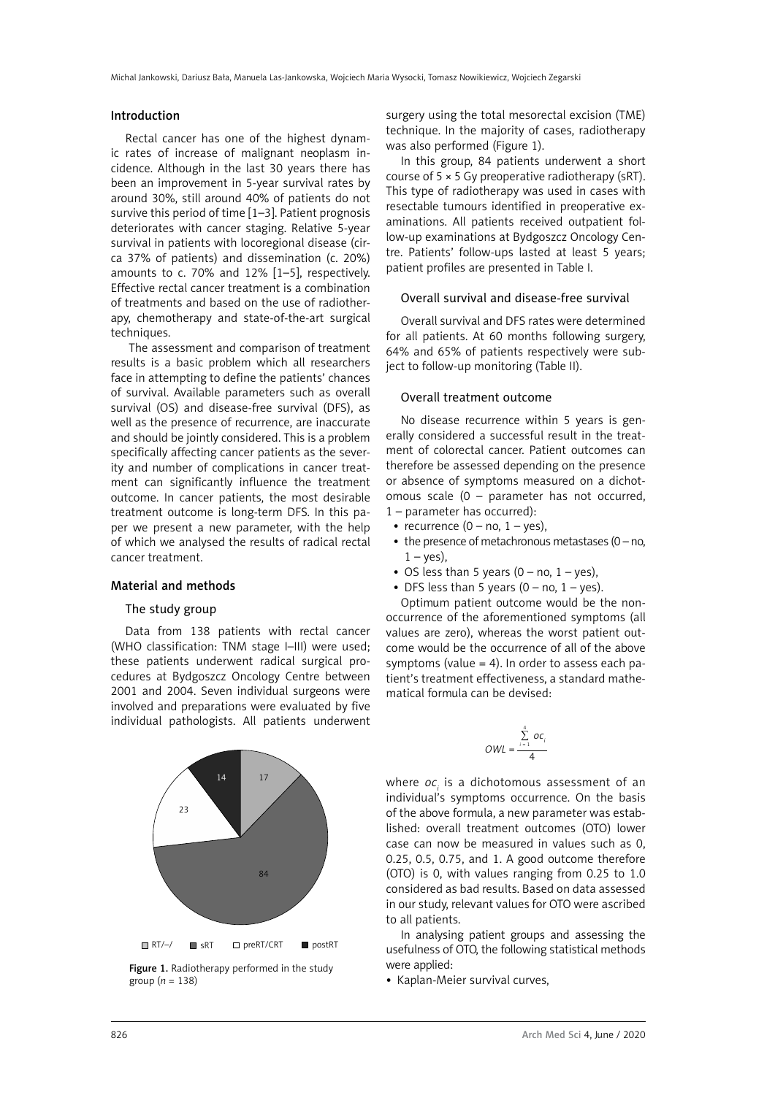#### Introduction

Rectal cancer has one of the highest dynamic rates of increase of malignant neoplasm incidence. Although in the last 30 years there has been an improvement in 5-year survival rates by around 30%, still around 40% of patients do not survive this period of time [1–3]. Patient prognosis deteriorates with cancer staging. Relative 5-year survival in patients with locoregional disease (circa 37% of patients) and dissemination (c. 20%) amounts to c. 70% and 12% [1–5], respectively. Effective rectal cancer treatment is a combination of treatments and based on the use of radiotherapy, chemotherapy and state-of-the-art surgical techniques.

 The assessment and comparison of treatment results is a basic problem which all researchers face in attempting to define the patients' chances of survival. Available parameters such as overall survival (OS) and disease-free survival (DFS), as well as the presence of recurrence, are inaccurate and should be jointly considered. This is a problem specifically affecting cancer patients as the severity and number of complications in cancer treatment can significantly influence the treatment outcome. In cancer patients, the most desirable treatment outcome is long-term DFS. In this paper we present a new parameter, with the help of which we analysed the results of radical rectal cancer treatment.

#### Material and methods

#### The study group

Data from 138 patients with rectal cancer (WHO classification: TNM stage I–III) were used; these patients underwent radical surgical procedures at Bydgoszcz Oncology Centre between 2001 and 2004. Seven individual surgeons were involved and preparations were evaluated by five individual pathologists. All patients underwent



Figure 1. Radiotherapy performed in the study group (*n* = 138)

surgery using the total mesorectal excision (TME) technique. In the majority of cases, radiotherapy was also performed (Figure 1).

In this group, 84 patients underwent a short course of  $5 \times 5$  Gy preoperative radiotherapy (sRT). This type of radiotherapy was used in cases with resectable tumours identified in preoperative examinations. All patients received outpatient follow-up examinations at Bydgoszcz Oncology Centre. Patients' follow-ups lasted at least 5 years; patient profiles are presented in Table I.

## Overall survival and disease-free survival

Overall survival and DFS rates were determined for all patients. At 60 months following surgery, 64% and 65% of patients respectively were subject to follow-up monitoring (Table II).

#### Overall treatment outcome

No disease recurrence within 5 years is generally considered a successful result in the treatment of colorectal cancer. Patient outcomes can therefore be assessed depending on the presence or absence of symptoms measured on a dichotomous scale (0 – parameter has not occurred, 1 – parameter has occurred):

- recurrence  $(0 no, 1 yes)$ ,
- $\bullet$  the presence of metachronous metastases (0 no,  $1 - \text{ves}$ ),
- OS less than 5 years  $(0 no, 1 yes)$ ,
- DFS less than 5 years  $(0 no, 1 yes)$ .

Optimum patient outcome would be the nonoccurrence of the aforementioned symptoms (all values are zero), whereas the worst patient outcome would be the occurrence of all of the above symptoms (value = 4). In order to assess each patient's treatment effectiveness, a standard mathematical formula can be devised:

$$
OWL = \frac{\sum_{i=1}^{4} oc_i}{4}
$$

where  $oc<sub>i</sub>$  is a dichotomous assessment of an individual's symptoms occurrence. On the basis of the above formula, a new parameter was established: overall treatment outcomes (OTO) lower case can now be measured in values such as 0, 0.25, 0.5, 0.75, and 1. A good outcome therefore (OTO) is 0, with values ranging from 0.25 to 1.0 considered as bad results. Based on data assessed in our study, relevant values for OTO were ascribed to all patients.

In analysing patient groups and assessing the usefulness of OTO, the following statistical methods were applied:

• Kaplan-Meier survival curves,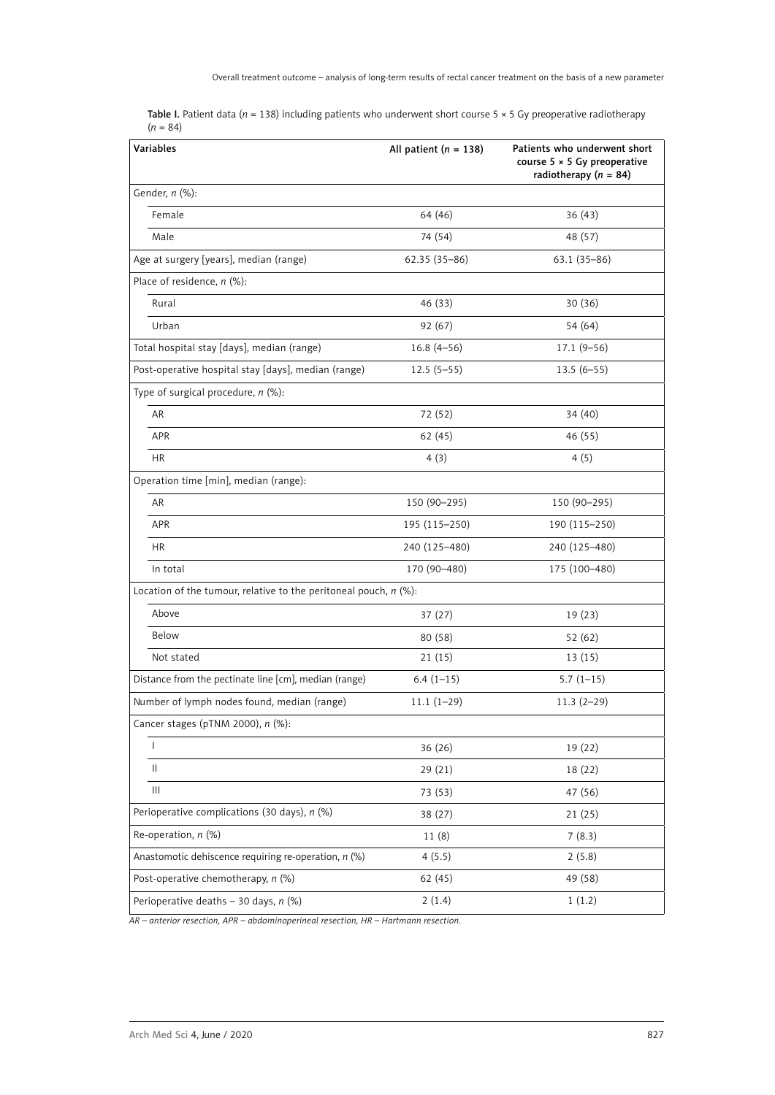Table I. Patient data ( $n = 138$ ) including patients who underwent short course 5 × 5 Gy preoperative radiotherapy  $(n = 84)$ 

| Variables                                                          | All patient ( $n = 138$ ) | Patients who underwent short<br>course $5 \times 5$ Gy preoperative<br>radiotherapy ( $n = 84$ ) |
|--------------------------------------------------------------------|---------------------------|--------------------------------------------------------------------------------------------------|
| Gender, n (%):                                                     |                           |                                                                                                  |
| Female                                                             | 64 (46)                   | 36(43)                                                                                           |
| Male                                                               | 74 (54)                   | 48 (57)                                                                                          |
| Age at surgery [years], median (range)                             | 62.35 (35-86)             | 63.1 (35-86)                                                                                     |
| Place of residence, $n$ (%):                                       |                           |                                                                                                  |
| Rural                                                              | 46 (33)                   | 30 (36)                                                                                          |
| Urban                                                              | 92(67)                    | 54 (64)                                                                                          |
| Total hospital stay [days], median (range)                         | $16.8(4-56)$              | $17.1(9-56)$                                                                                     |
| Post-operative hospital stay [days], median (range)                | $12.5(5-55)$              | $13.5(6-55)$                                                                                     |
| Type of surgical procedure, $n$ (%):                               |                           |                                                                                                  |
| AR                                                                 | 72 (52)                   | 34 (40)                                                                                          |
| <b>APR</b>                                                         | 62 (45)                   | 46 (55)                                                                                          |
| <b>HR</b>                                                          | 4(3)                      | 4(5)                                                                                             |
| Operation time [min], median (range):                              |                           |                                                                                                  |
| AR                                                                 | 150 (90-295)              | 150 (90-295)                                                                                     |
| <b>APR</b>                                                         | 195 (115 - 250)           | 190 (115-250)                                                                                    |
| <b>HR</b>                                                          | 240 (125-480)             | 240 (125-480)                                                                                    |
| In total                                                           | 170 (90-480)              | 175 (100-480)                                                                                    |
| Location of the tumour, relative to the peritoneal pouch, $n$ (%): |                           |                                                                                                  |
| Above                                                              | 37(27)                    | 19 (23)                                                                                          |
| Below                                                              | 80(58)                    | 52 (62)                                                                                          |
| Not stated                                                         | 21(15)                    | 13 (15)                                                                                          |
| Distance from the pectinate line [cm], median (range)              | $6.4(1-15)$               | $5.7(1-15)$                                                                                      |
| Number of lymph nodes found, median (range)                        | $11.1(1-29)$              | $11.3(2-29)$                                                                                     |
| Cancer stages (pTNM 2000), $n$ (%):                                |                           |                                                                                                  |
| $\mathbf{I}$                                                       | 36(26)                    | 19 (22)                                                                                          |
| $\mathbf H$                                                        | 29(21)                    | 18 (22)                                                                                          |
| $\ensuremath{\mathsf{III}}\xspace$                                 | 73 (53)                   | 47 (56)                                                                                          |
| Perioperative complications (30 days), $n$ (%)                     | 38 (27)                   | 21(25)                                                                                           |
| Re-operation, n (%)                                                | 11(8)                     | 7(8.3)                                                                                           |
| Anastomotic dehiscence requiring re-operation, $n$ (%)             | 4(5.5)                    | 2(5.8)                                                                                           |
| Post-operative chemotherapy, n (%)                                 | 62 (45)                   | 49 (58)                                                                                          |
| Perioperative deaths - 30 days, $n$ (%)                            | 2(1.4)                    | 1(1.2)                                                                                           |

*AR – anterior resection, APR – abdominoperineal resection, HR – Hartmann resection.*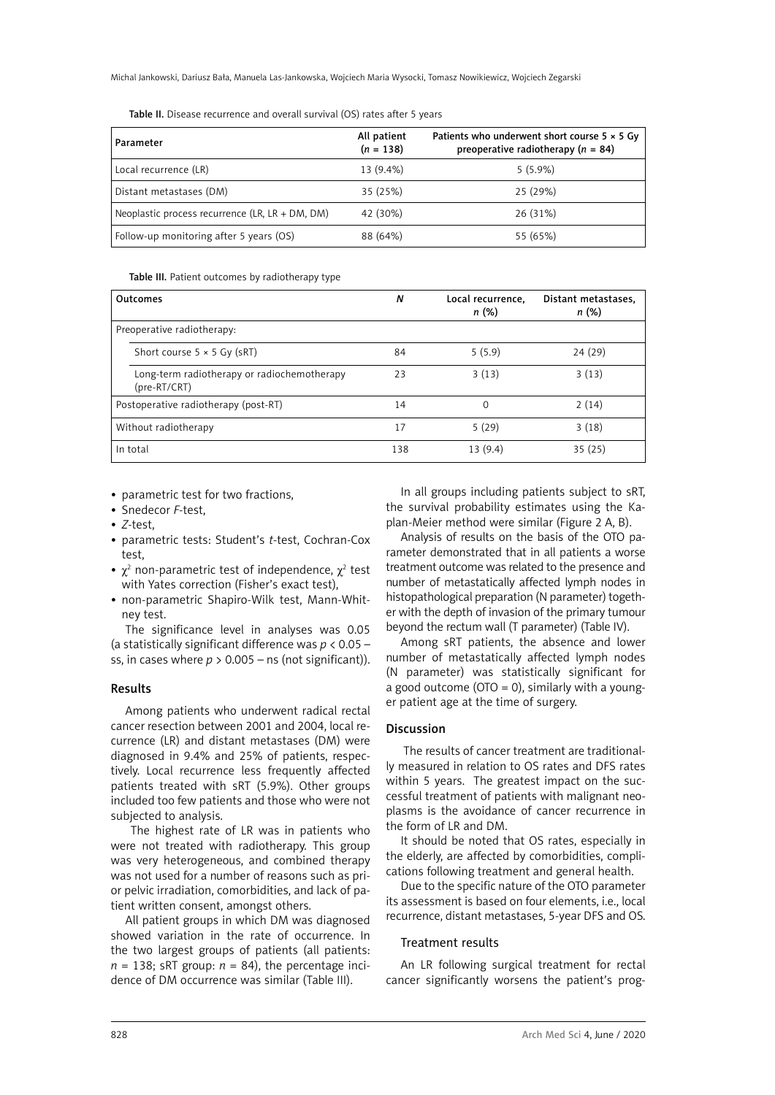Michal Jankowski, Dariusz Bała, Manuela Las-Jankowska, Wojciech Maria Wysocki, Tomasz Nowikiewicz, Wojciech Zegarski

| Parameter                                          | All patient<br>$(n = 138)$ | Patients who underwent short course $5 \times 5$ Gy<br>preoperative radiotherapy ( $n = 84$ ) |
|----------------------------------------------------|----------------------------|-----------------------------------------------------------------------------------------------|
| Local recurrence (LR)                              | 13 (9.4%)                  | $5(5.9\%)$                                                                                    |
| Distant metastases (DM)                            | 35 (25%)                   | 25 (29%)                                                                                      |
| Neoplastic process recurrence (LR, $LR + DM$ , DM) | 42 (30%)                   | 26 (31%)                                                                                      |
| Follow-up monitoring after 5 years (OS)            | 88 (64%)                   | 55 (65%)                                                                                      |

Table II. Disease recurrence and overall survival (OS) rates after 5 years

#### Table III. Patient outcomes by radiotherapy type

| <b>Outcomes</b>                                             | N   | Local recurrence,<br>n (%) | Distant metastases.<br>n (%) |
|-------------------------------------------------------------|-----|----------------------------|------------------------------|
| Preoperative radiotherapy:                                  |     |                            |                              |
| Short course $5 \times 5$ Gy (sRT)                          | 84  | 5(5.9)                     | 24 (29)                      |
| Long-term radiotherapy or radiochemotherapy<br>(pre-RT/CRT) | 23  | 3(13)                      | 3(13)                        |
| Postoperative radiotherapy (post-RT)                        | 14  | $\Omega$                   | 2(14)                        |
| Without radiotherapy                                        | 17  | 5(29)                      | 3(18)                        |
| In total                                                    | 138 | 13 (9.4)                   | 35(25)                       |

- parametric test for two fractions,
- • Snedecor *F*-test,
- • *Z*-test,
- • parametric tests: Student's *t*-test, Cochran-Cox test,
- $\chi^2$  non-parametric test of independence,  $\chi^2$  test with Yates correction (Fisher's exact test),
- non-parametric Shapiro-Wilk test, Mann-Whitney test.

The significance level in analyses was 0.05 (a statistically significant difference was *p* < 0.05 – ss, in cases where  $p > 0.005 -$  ns (not significant)).

## Results

Among patients who underwent radical rectal cancer resection between 2001 and 2004, local recurrence (LR) and distant metastases (DM) were diagnosed in 9.4% and 25% of patients, respectively. Local recurrence less frequently affected patients treated with sRT (5.9%). Other groups included too few patients and those who were not subjected to analysis.

 The highest rate of LR was in patients who were not treated with radiotherapy. This group was very heterogeneous, and combined therapy was not used for a number of reasons such as prior pelvic irradiation, comorbidities, and lack of patient written consent, amongst others.

All patient groups in which DM was diagnosed showed variation in the rate of occurrence. In the two largest groups of patients (all patients:  $n = 138$ ; sRT group:  $n = 84$ ), the percentage incidence of DM occurrence was similar (Table III).

In all groups including patients subject to sRT, the survival probability estimates using the Kaplan-Meier method were similar (Figure 2 A, B).

Analysis of results on the basis of the OTO parameter demonstrated that in all patients a worse treatment outcome was related to the presence and number of metastatically affected lymph nodes in histopathological preparation (N parameter) together with the depth of invasion of the primary tumour beyond the rectum wall (T parameter) (Table IV).

Among sRT patients, the absence and lower number of metastatically affected lymph nodes (N parameter) was statistically significant for a good outcome ( $OTO = 0$ ), similarly with a younger patient age at the time of surgery.

# Discussion

 The results of cancer treatment are traditionally measured in relation to OS rates and DFS rates within 5 years. The greatest impact on the successful treatment of patients with malignant neoplasms is the avoidance of cancer recurrence in the form of LR and DM.

It should be noted that OS rates, especially in the elderly, are affected by comorbidities, complications following treatment and general health.

Due to the specific nature of the OTO parameter its assessment is based on four elements, i.e., local recurrence, distant metastases, 5-year DFS and OS.

### Treatment results

An LR following surgical treatment for rectal cancer significantly worsens the patient's prog-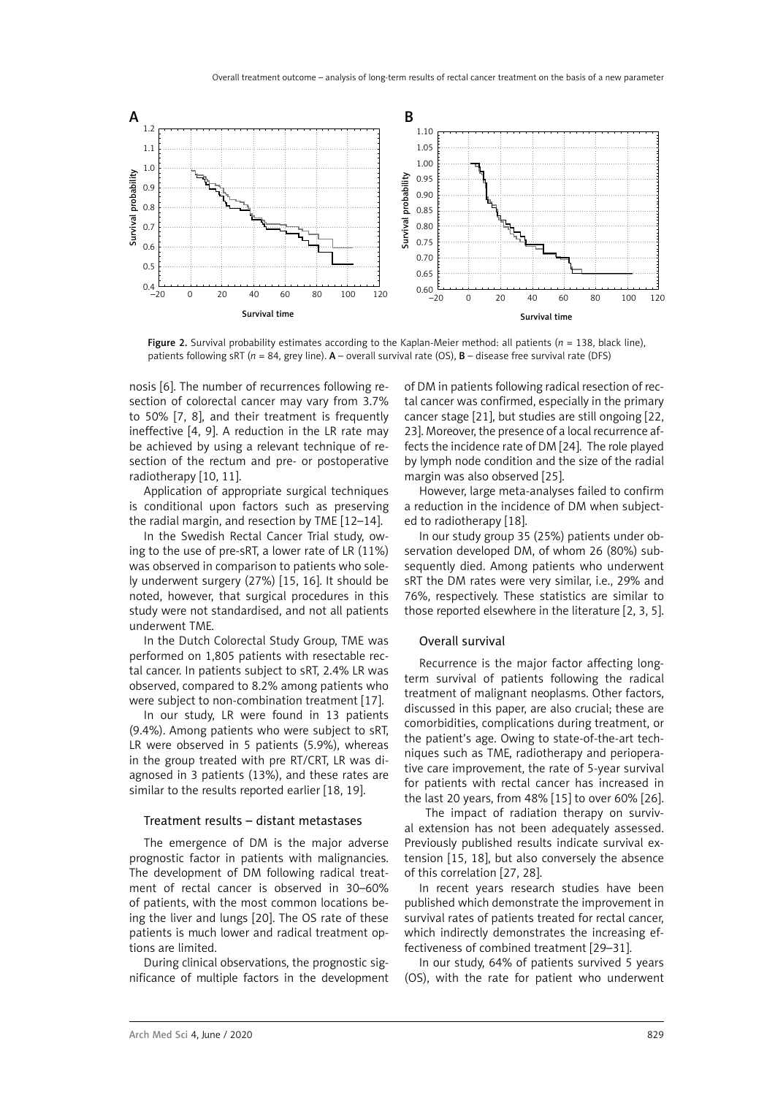

Figure 2. Survival probability estimates according to the Kaplan-Meier method: all patients  $(n = 138,$  black line), patients following sRT (*n* = 84, grey line). A – overall survival rate (OS), B – disease free survival rate (DFS)

nosis [6]. The number of recurrences following resection of colorectal cancer may vary from 3.7% to 50% [7, 8], and their treatment is frequently ineffective [4, 9]. A reduction in the LR rate may be achieved by using a relevant technique of resection of the rectum and pre- or postoperative radiotherapy [10, 11].

Application of appropriate surgical techniques is conditional upon factors such as preserving the radial margin, and resection by TME [12–14].

In the Swedish Rectal Cancer Trial study, owing to the use of pre-sRT, a lower rate of LR (11%) was observed in comparison to patients who solely underwent surgery (27%) [15, 16]. It should be noted, however, that surgical procedures in this study were not standardised, and not all patients underwent TME.

In the Dutch Colorectal Study Group, TME was performed on 1,805 patients with resectable rectal cancer. In patients subject to sRT, 2.4% LR was observed, compared to 8.2% among patients who were subject to non-combination treatment [17].

In our study, LR were found in 13 patients (9.4%). Among patients who were subject to sRT, LR were observed in 5 patients (5.9%), whereas in the group treated with pre RT/CRT, LR was diagnosed in 3 patients (13%), and these rates are similar to the results reported earlier [18, 19].

#### Treatment results – distant metastases

The emergence of DM is the major adverse prognostic factor in patients with malignancies. The development of DM following radical treatment of rectal cancer is observed in 30–60% of patients, with the most common locations being the liver and lungs [20]. The OS rate of these patients is much lower and radical treatment options are limited.

During clinical observations, the prognostic significance of multiple factors in the development

of DM in patients following radical resection of rectal cancer was confirmed, especially in the primary cancer stage [21], but studies are still ongoing [22, 23]. Moreover, the presence of a local recurrence affects the incidence rate of DM [24]. The role played by lymph node condition and the size of the radial margin was also observed [25].

However, large meta-analyses failed to confirm a reduction in the incidence of DM when subjected to radiotherapy [18].

In our study group 35 (25%) patients under observation developed DM, of whom 26 (80%) subsequently died. Among patients who underwent sRT the DM rates were very similar, i.e., 29% and 76%, respectively. These statistics are similar to those reported elsewhere in the literature [2, 3, 5].

#### Overall survival

Recurrence is the major factor affecting longterm survival of patients following the radical treatment of malignant neoplasms. Other factors, discussed in this paper, are also crucial; these are comorbidities, complications during treatment, or the patient's age. Owing to state-of-the-art techniques such as TME, radiotherapy and perioperative care improvement, the rate of 5-year survival for patients with rectal cancer has increased in the last 20 years, from 48% [15] to over 60% [26].

The impact of radiation therapy on survival extension has not been adequately assessed. Previously published results indicate survival extension [15, 18], but also conversely the absence of this correlation [27, 28].

In recent years research studies have been published which demonstrate the improvement in survival rates of patients treated for rectal cancer, which indirectly demonstrates the increasing effectiveness of combined treatment [29–31].

In our study, 64% of patients survived 5 years (OS), with the rate for patient who underwent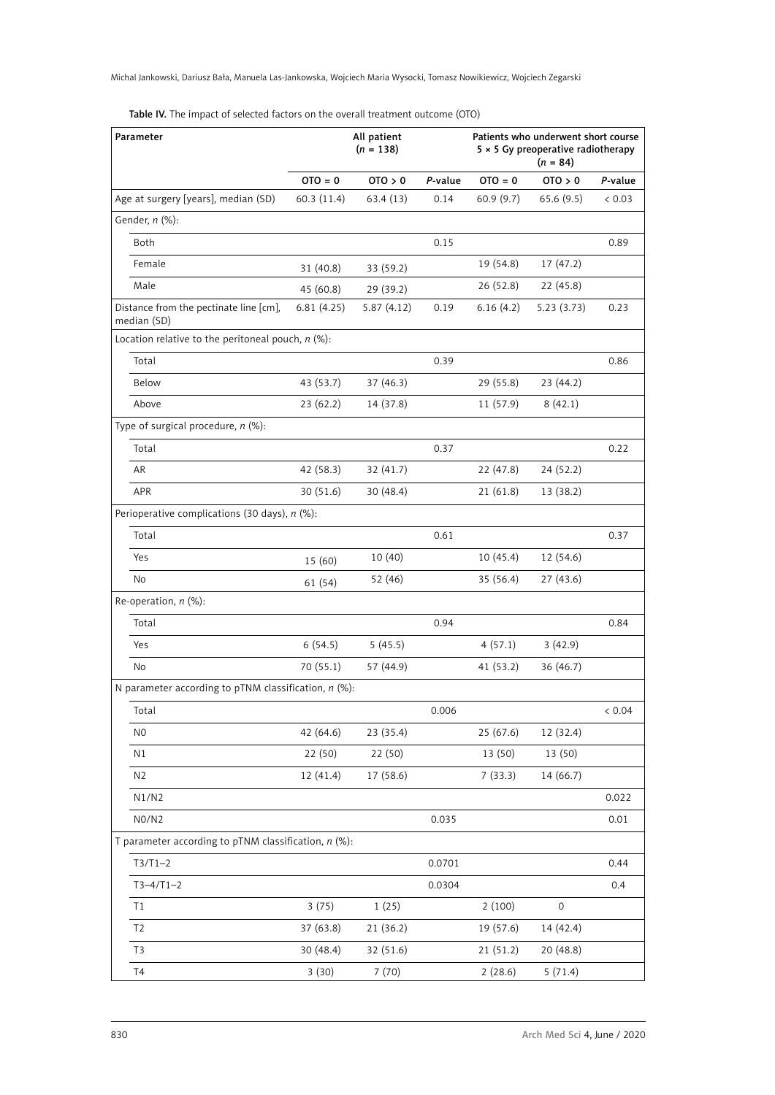Table IV. The impact of selected factors on the overall treatment outcome (OTO)

| Parameter                                              | All patient<br>$(n = 138)$ |            | Patients who underwent short course<br>$5 \times 5$ Gy preoperative radiotherapy<br>$(n = 84)$ |           |                     |         |
|--------------------------------------------------------|----------------------------|------------|------------------------------------------------------------------------------------------------|-----------|---------------------|---------|
|                                                        | $OTO = 0$                  | OTO > 0    | P-value                                                                                        | $OTO = 0$ | OTO > 0             | P-value |
| Age at surgery [years], median (SD)                    | 60.3 (11.4)                | 63.4 (13)  | 0.14                                                                                           | 60.9(9.7) | 65.6(9.5)           | & 0.03  |
| Gender, n (%):                                         |                            |            |                                                                                                |           |                     |         |
| Both                                                   |                            |            | 0.15                                                                                           |           |                     | 0.89    |
| Female                                                 | 31 (40.8)                  | 33 (59.2)  |                                                                                                | 19 (54.8) | 17(47.2)            |         |
| Male                                                   | 45 (60.8)                  | 29 (39.2)  |                                                                                                | 26(52.8)  | 22(45.8)            |         |
| Distance from the pectinate line [cm],<br>median (SD)  | 6.81(4.25)                 | 5.87(4.12) | 0.19                                                                                           | 6.16(4.2) | 5.23(3.73)          | 0.23    |
| Location relative to the peritoneal pouch, $n$ (%):    |                            |            |                                                                                                |           |                     |         |
| Total                                                  |                            |            | 0.39                                                                                           |           |                     | 0.86    |
| Below                                                  | 43 (53.7)                  | 37(46.3)   |                                                                                                | 29 (55.8) | 23 (44.2)           |         |
| Above                                                  | 23(62.2)                   | 14 (37.8)  |                                                                                                | 11(57.9)  | 8(42.1)             |         |
| Type of surgical procedure, $n$ (%):                   |                            |            |                                                                                                |           |                     |         |
| Total                                                  |                            |            | 0.37                                                                                           |           |                     | 0.22    |
| AR                                                     | 42 (58.3)                  | 32 (41.7)  |                                                                                                | 22(47.8)  | 24 (52.2)           |         |
| APR                                                    | 30 (51.6)                  | 30 (48.4)  |                                                                                                | 21(61.8)  | 13 (38.2)           |         |
| Perioperative complications (30 days), $n$ (%):        |                            |            |                                                                                                |           |                     |         |
| Total                                                  |                            |            | 0.61                                                                                           |           |                     | 0.37    |
| Yes                                                    | 15 (60)                    | 10(40)     |                                                                                                | 10(45.4)  | 12 (54.6)           |         |
| No                                                     | 61 (54)                    | 52 (46)    |                                                                                                | 35 (56.4) | 27(43.6)            |         |
| Re-operation, n (%):                                   |                            |            |                                                                                                |           |                     |         |
| Total                                                  |                            |            | 0.94                                                                                           |           |                     | 0.84    |
| Yes                                                    | 6(54.5)                    | 5(45.5)    |                                                                                                | 4(57.1)   | 3(42.9)             |         |
| No                                                     | 70 (55.1)                  | 57 (44.9)  |                                                                                                | 41 (53.2) | 36 (46.7)           |         |
| N parameter according to pTNM classification, $n$ (%): |                            |            |                                                                                                |           |                     |         |
| Total                                                  |                            |            | 0.006                                                                                          |           |                     | < 0.04  |
| N <sub>0</sub>                                         | 42 (64.6)                  | 23 (35.4)  |                                                                                                | 25 (67.6) | 12 (32.4)           |         |
| N1                                                     | 22 (50)                    | 22 (50)    |                                                                                                | 13 (50)   | 13 (50)             |         |
| N <sub>2</sub>                                         | 12 (41.4)                  | 17 (58.6)  |                                                                                                | 7(33.3)   | 14(66.7)            |         |
| N1/N2                                                  |                            |            |                                                                                                |           |                     | 0.022   |
| NO/N2                                                  |                            |            | 0.035                                                                                          |           |                     | 0.01    |
| T parameter according to pTNM classification, $n$ (%): |                            |            |                                                                                                |           |                     |         |
| $T3/T1-2$                                              |                            |            | 0.0701                                                                                         |           |                     | 0.44    |
| $T3 - 4/T1 - 2$                                        |                            |            | 0.0304                                                                                         |           |                     | 0.4     |
| T1                                                     | 3(75)                      | 1(25)      |                                                                                                | 2(100)    | $\mathsf{O}\xspace$ |         |
| T <sub>2</sub>                                         | 37 (63.8)                  | 21 (36.2)  |                                                                                                | 19 (57.6) | 14 (42.4)           |         |
| T <sub>3</sub>                                         | 30 (48.4)                  | 32 (51.6)  |                                                                                                | 21 (51.2) | 20(48.8)            |         |
| T <sub>4</sub>                                         | 3(30)                      | 7(70)      |                                                                                                | 2(28.6)   | 5(71.4)             |         |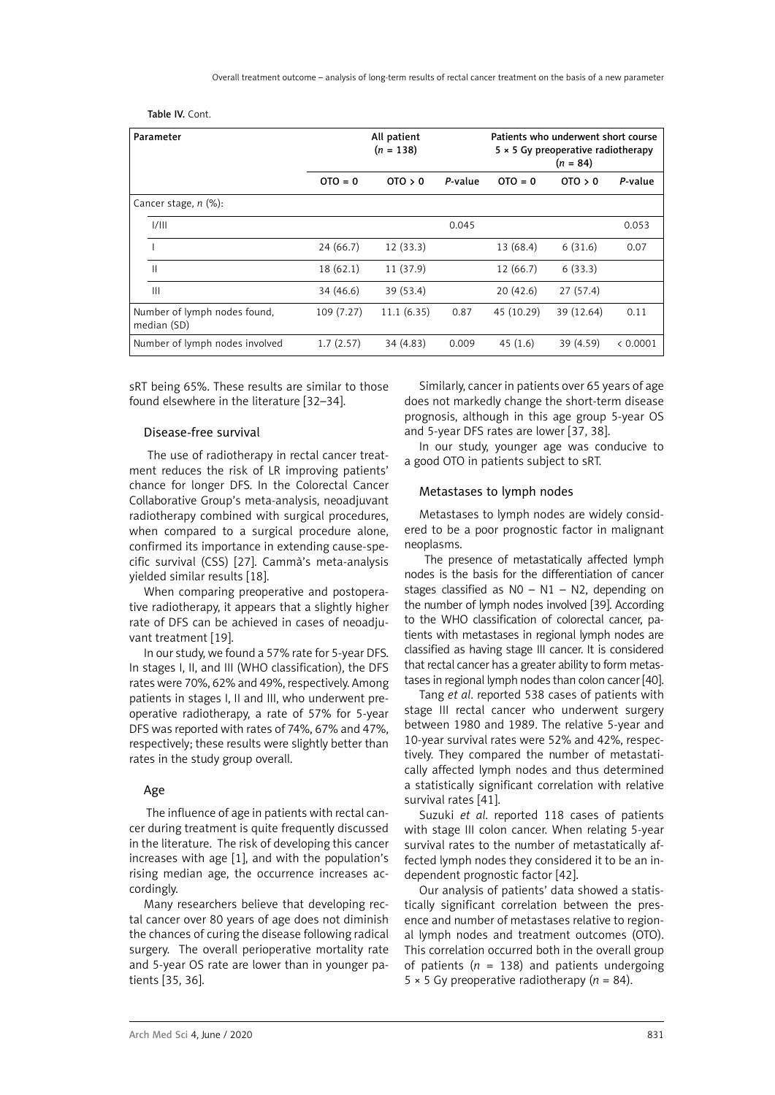| Parameter                                   | All patient<br>$(n = 138)$ |            |         | Patients who underwent short course<br>$5 \times 5$ Gy preoperative radiotherapy<br>$(n = 84)$ |            |          |
|---------------------------------------------|----------------------------|------------|---------|------------------------------------------------------------------------------------------------|------------|----------|
|                                             | $OTO = 0$                  | OTO > 0    | P-value | $OTO = 0$                                                                                      | OTO > 0    | P-value  |
| Cancer stage, $n$ (%):                      |                            |            |         |                                                                                                |            |          |
| 1/111                                       |                            |            | 0.045   |                                                                                                |            | 0.053    |
|                                             | 24(66.7)                   | 12(33.3)   |         | 13 (68.4)                                                                                      | 6(31.6)    | 0.07     |
| $\mathbf{H}$                                | 18(62.1)                   | 11 (37.9)  |         | 12(66.7)                                                                                       | 6(33.3)    |          |
| $\mathbf{H}$                                | 34 (46.6)                  | 39 (53.4)  |         | 20(42.6)                                                                                       | 27(57.4)   |          |
| Number of lymph nodes found,<br>median (SD) | 109 (7.27)                 | 11.1(6.35) | 0.87    | 45 (10.29)                                                                                     | 39 (12.64) | 0.11     |
| Number of lymph nodes involved              | 1.7(2.57)                  | 34 (4.83)  | 0.009   | 45(1.6)                                                                                        | 39 (4.59)  | < 0.0001 |

Table IV. Cont.

sRT being 65%. These results are similar to those found elsewhere in the literature [32–34].

# Disease-free survival

 The use of radiotherapy in rectal cancer treatment reduces the risk of LR improving patients' chance for longer DFS. In the Colorectal Cancer Collaborative Group's meta-analysis, neoadjuvant radiotherapy combined with surgical procedures, when compared to a surgical procedure alone, confirmed its importance in extending cause-specific survival (CSS) [27]. Cammà's meta-analysis yielded similar results [18].

When comparing preoperative and postoperative radiotherapy, it appears that a slightly higher rate of DFS can be achieved in cases of neoadjuvant treatment [19].

In our study, we found a 57% rate for 5-year DFS. In stages I, II, and III (WHO classification), the DFS rates were 70%, 62% and 49%, respectively. Among patients in stages I, II and III, who underwent preoperative radiotherapy, a rate of 57% for 5-year DFS was reported with rates of 74%, 67% and 47%, respectively; these results were slightly better than rates in the study group overall.

# Age

 The influence of age in patients with rectal cancer during treatment is quite frequently discussed in the literature. The risk of developing this cancer increases with age [1], and with the population's rising median age, the occurrence increases accordingly.

Many researchers believe that developing rectal cancer over 80 years of age does not diminish the chances of curing the disease following radical surgery. The overall perioperative mortality rate and 5-year OS rate are lower than in younger patients [35, 36].

Similarly, cancer in patients over 65 years of age does not markedly change the short-term disease prognosis, although in this age group 5-year OS and 5-year DFS rates are lower [37, 38].

In our study, younger age was conducive to a good OTO in patients subject to sRT.

# Metastases to lymph nodes

Metastases to lymph nodes are widely considered to be a poor prognostic factor in malignant neoplasms.

 The presence of metastatically affected lymph nodes is the basis for the differentiation of cancer stages classified as  $NO - N1 - N2$ , depending on the number of lymph nodes involved [39]. According to the WHO classification of colorectal cancer, patients with metastases in regional lymph nodes are classified as having stage III cancer. It is considered that rectal cancer has a greater ability to form metastases in regional lymph nodes than colon cancer [40].

Tang *et al*. reported 538 cases of patients with stage III rectal cancer who underwent surgery between 1980 and 1989. The relative 5-year and 10-year survival rates were 52% and 42%, respectively. They compared the number of metastatically affected lymph nodes and thus determined a statistically significant correlation with relative survival rates [41].

Suzuki *et al*. reported 118 cases of patients with stage III colon cancer. When relating 5-year survival rates to the number of metastatically affected lymph nodes they considered it to be an independent prognostic factor [42].

Our analysis of patients' data showed a statistically significant correlation between the presence and number of metastases relative to regional lymph nodes and treatment outcomes (OTO). This correlation occurred both in the overall group of patients ( $n = 138$ ) and patients undergoing  $5 \times 5$  Gy preoperative radiotherapy ( $n = 84$ ).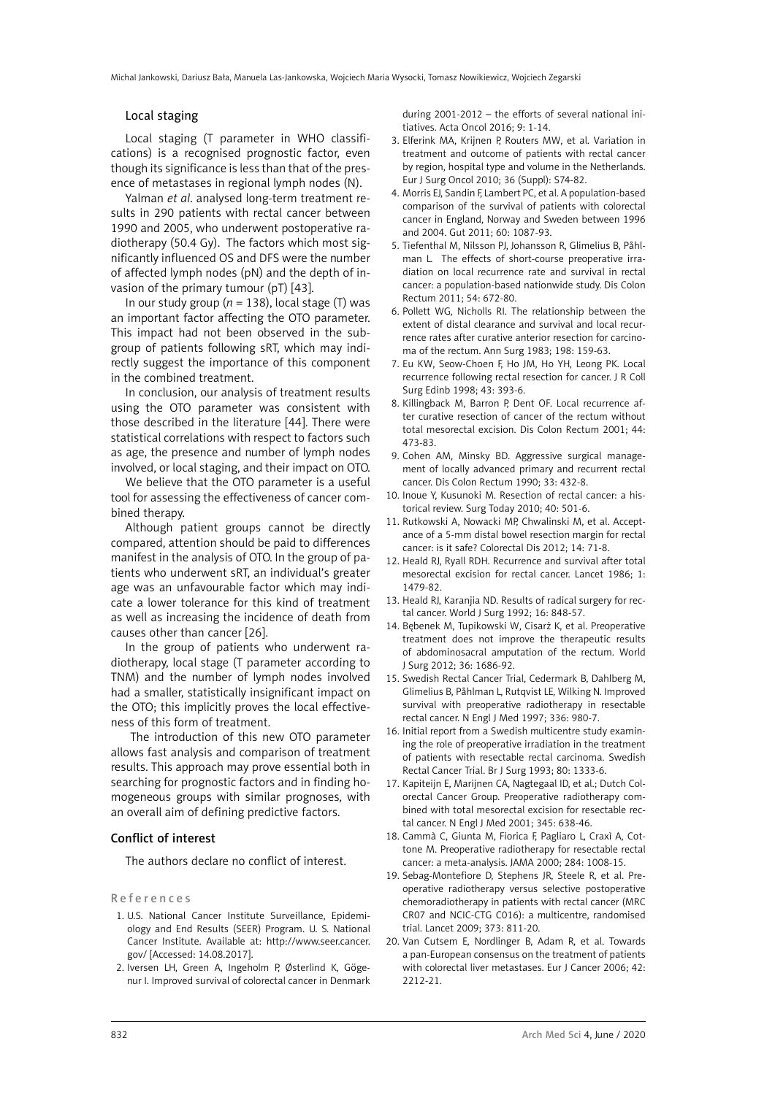## Local staging

Local staging (T parameter in WHO classifications) is a recognised prognostic factor, even though its significance is less than that of the presence of metastases in regional lymph nodes (N).

Yalman *et al*. analysed long-term treatment results in 290 patients with rectal cancer between 1990 and 2005, who underwent postoperative radiotherapy (50.4 Gy). The factors which most significantly influenced OS and DFS were the number of affected lymph nodes (pN) and the depth of invasion of the primary tumour (pT) [43].

In our study group ( $n = 138$ ), local stage (T) was an important factor affecting the OTO parameter. This impact had not been observed in the subgroup of patients following sRT, which may indirectly suggest the importance of this component in the combined treatment.

In conclusion, our analysis of treatment results using the OTO parameter was consistent with those described in the literature [44]. There were statistical correlations with respect to factors such as age, the presence and number of lymph nodes involved, or local staging, and their impact on OTO.

We believe that the OTO parameter is a useful tool for assessing the effectiveness of cancer combined therapy.

Although patient groups cannot be directly compared, attention should be paid to differences manifest in the analysis of OTO. In the group of patients who underwent sRT, an individual's greater age was an unfavourable factor which may indicate a lower tolerance for this kind of treatment as well as increasing the incidence of death from causes other than cancer [26].

In the group of patients who underwent radiotherapy, local stage (T parameter according to TNM) and the number of lymph nodes involved had a smaller, statistically insignificant impact on the OTO; this implicitly proves the local effectiveness of this form of treatment.

 The introduction of this new OTO parameter allows fast analysis and comparison of treatment results. This approach may prove essential both in searching for prognostic factors and in finding homogeneous groups with similar prognoses, with an overall aim of defining predictive factors.

## Conflict of interest

The authors declare no conflict of interest.

References

- 1. U.S. National Cancer Institute Surveillance, Epidemiology and End Results (SEER) Program. U. S. National Cancer Institute. Available at: http://www.seer.cancer. gov/ [Accessed: 14.08.2017].
- 2. Iversen LH, Green A, Ingeholm P, Østerlind K, Gögenur I. Improved survival of colorectal cancer in Denmark

during 2001-2012 – the efforts of several national initiatives. Acta Oncol 2016; 9: 1-14.

- 3. Elferink MA, Krijnen P, Routers MW, et al. Variation in treatment and outcome of patients with rectal cancer by region, hospital type and volume in the Netherlands. Eur J Surg Oncol 2010; 36 (Suppl): S74-82.
- 4. Morris EJ, Sandin F, Lambert PC, et al. A population-based comparison of the survival of patients with colorectal cancer in England, Norway and Sweden between 1996 and 2004. Gut 2011; 60: 1087-93.
- 5. Tiefenthal M, Nilsson PJ, Johansson R, Glimelius B, Påhlman L. The effects of short-course preoperative irradiation on local recurrence rate and survival in rectal cancer: a population-based nationwide study. Dis Colon Rectum 2011; 54: 672-80.
- 6. Pollett WG, Nicholls RI. The relationship between the extent of distal clearance and survival and local recurrence rates after curative anterior resection for carcinoma of the rectum. Ann Surg 1983; 198: 159-63.
- 7. Eu KW, Seow-Choen F, Ho JM, Ho YH, Leong PK. Local recurrence following rectal resection for cancer. J R Coll Surg Edinb 1998; 43: 393-6.
- 8. Killingback M, Barron P, Dent OF. Local recurrence after curative resection of cancer of the rectum without total mesorectal excision. Dis Colon Rectum 2001; 44: 473-83.
- 9. Cohen AM, Minsky BD. Aggressive surgical management of locally advanced primary and recurrent rectal cancer. Dis Colon Rectum 1990; 33: 432-8.
- 10. Inoue Y, Kusunoki M. Resection of rectal cancer: a historical review. Surg Today 2010; 40: 501-6.
- 11. Rutkowski A, Nowacki MP, Chwalinski M, et al. Acceptance of a 5-mm distal bowel resection margin for rectal cancer: is it safe? Colorectal Dis 2012; 14: 71-8.
- 12. Heald RJ, Ryall RDH. Recurrence and survival after total mesorectal excision for rectal cancer. Lancet 1986; 1: 1479-82.
- 13. Heald RJ, Karanjia ND. Results of radical surgery for rectal cancer. World J Surg 1992; 16: 848-57.
- 14. Bębenek M, Tupikowski W, Cisarż K, et al. Preoperative treatment does not improve the therapeutic results of abdominosacral amputation of the rectum. World J Surg 2012; 36: 1686-92.
- 15. Swedish Rectal Cancer Trial, Cedermark B, Dahlberg M, Glimelius B, Påhlman L, Rutqvist LE, Wilking N. Improved survival with preoperative radiotherapy in resectable rectal cancer. N Engl J Med 1997; 336: 980-7.
- 16. Initial report from a Swedish multicentre study examining the role of preoperative irradiation in the treatment of patients with resectable rectal carcinoma. Swedish Rectal Cancer Trial. Br J Surg 1993; 80: 1333-6.
- 17. Kapiteijn E, Marijnen CA, Nagtegaal ID, et al.; Dutch Colorectal Cancer Group. Preoperative radiotherapy combined with total mesorectal excision for resectable rectal cancer. N Engl J Med 2001; 345: 638-46.
- 18. Cammà C, Giunta M, Fiorica F, Pagliaro L, Craxì A, Cottone M. Preoperative radiotherapy for resectable rectal cancer: a meta-analysis. JAMA 2000; 284: 1008-15.
- 19. Sebag-Montefiore D, Stephens JR, Steele R, et al. Preoperative radiotherapy versus selective postoperative chemoradiotherapy in patients with rectal cancer (MRC CR07 and NCIC-CTG C016): a multicentre, randomised trial. Lancet 2009; 373: 811-20.
- 20. Van Cutsem E, Nordlinger B, Adam R, et al. Towards a pan-European consensus on the treatment of patients with colorectal liver metastases. Eur J Cancer 2006; 42: 2212-21.